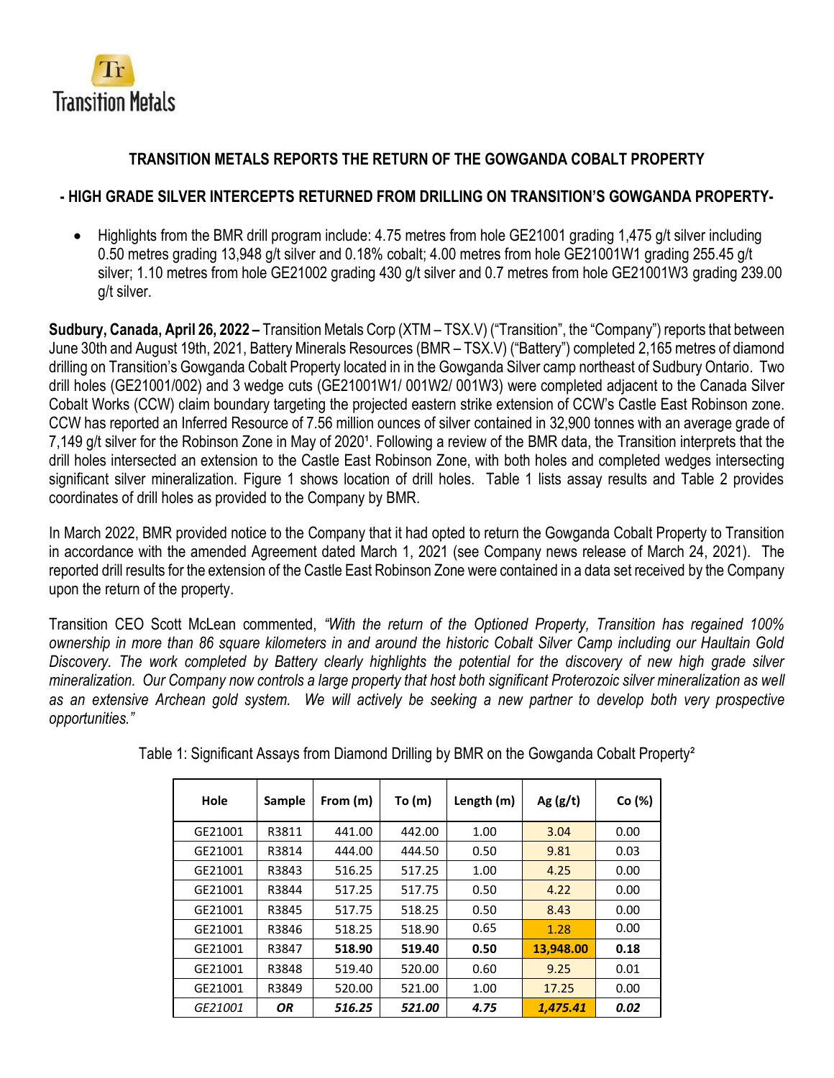

# **TRANSITION METALS REPORTS THE RETURN OF THE GOWGANDA COBALT PROPERTY**

## **- HIGH GRADE SILVER INTERCEPTS RETURNED FROM DRILLING ON TRANSITION'S GOWGANDA PROPERTY-**

• Highlights from the BMR drill program include: 4.75 metres from hole GE21001 grading 1,475 g/t silver including 0.50 metres grading 13,948 g/t silver and 0.18% cobalt; 4.00 metres from hole GE21001W1 grading 255.45 g/t silver; 1.10 metres from hole GE21002 grading 430 g/t silver and 0.7 metres from hole GE21001W3 grading 239.00 g/t silver.

**Sudbury, Canada, April 26, 2022 –** Transition Metals Corp (XTM – TSX.V) ("Transition", the "Company") reports that between June 30th and August 19th, 2021, Battery Minerals Resources (BMR – TSX.V) ("Battery") completed 2,165 metres of diamond drilling on Transition's Gowganda Cobalt Property located in in the Gowganda Silver camp northeast of Sudbury Ontario. Two drill holes (GE21001/002) and 3 wedge cuts (GE21001W1/ 001W2/ 001W3) were completed adjacent to the Canada Silver Cobalt Works (CCW) claim boundary targeting the projected eastern strike extension of CCW's Castle East Robinson zone. CCW has reported an Inferred Resource of 7.56 million ounces of silver contained in 32,900 tonnes with an average grade of 7,149 g/t silver for the Robinson Zone in May of 20201. Following a review of the BMR data, the Transition interprets that the drill holes intersected an extension to the Castle East Robinson Zone, with both holes and completed wedges intersecting significant silver mineralization. Figure 1 shows location of drill holes. Table 1 lists assay results and Table 2 provides coordinates of drill holes as provided to the Company by BMR.

In March 2022, BMR provided notice to the Company that it had opted to return the Gowganda Cobalt Property to Transition in accordance with the amended Agreement dated March 1, 2021 (see Company news release of March 24, 2021). The reported drill results for the extension of the Castle East Robinson Zone were contained in a data set received by the Company upon the return of the property.

Transition CEO Scott McLean commented, *"With the return of the Optioned Property, Transition has regained 100% ownership in more than 86 square kilometers in and around the historic Cobalt Silver Camp including our Haultain Gold Discovery. The work completed by Battery clearly highlights the potential for the discovery of new high grade silver mineralization. Our Company now controls a large property that host both significant Proterozoic silver mineralization as well as an extensive Archean gold system. We will actively be seeking a new partner to develop both very prospective opportunities."* 

| Hole    | <b>Sample</b> | From (m) | To (m) | Length (m) | Ag $(g/t)$ | Co (%) |
|---------|---------------|----------|--------|------------|------------|--------|
| GE21001 | R3811         | 441.00   | 442.00 | 1.00       | 3.04       | 0.00   |
| GE21001 | R3814         | 444.00   | 444.50 | 0.50       | 9.81       | 0.03   |
| GE21001 | R3843         | 516.25   | 517.25 | 1.00       | 4.25       | 0.00   |
| GE21001 | R3844         | 517.25   | 517.75 | 0.50       | 4.22       | 0.00   |
| GE21001 | R3845         | 517.75   | 518.25 | 0.50       | 8.43       | 0.00   |
| GE21001 | R3846         | 518.25   | 518.90 | 0.65       | 1.28       | 0.00   |
| GE21001 | R3847         | 518.90   | 519.40 | 0.50       | 13,948.00  | 0.18   |
| GE21001 | R3848         | 519.40   | 520.00 | 0.60       | 9.25       | 0.01   |
| GE21001 | R3849         | 520.00   | 521.00 | 1.00       | 17.25      | 0.00   |
| GE21001 | OR            | 516.25   | 521.00 | 4.75       | 1,475.41   | 0.02   |

Table 1: Significant Assays from Diamond Drilling by BMR on the Gowganda Cobalt Property²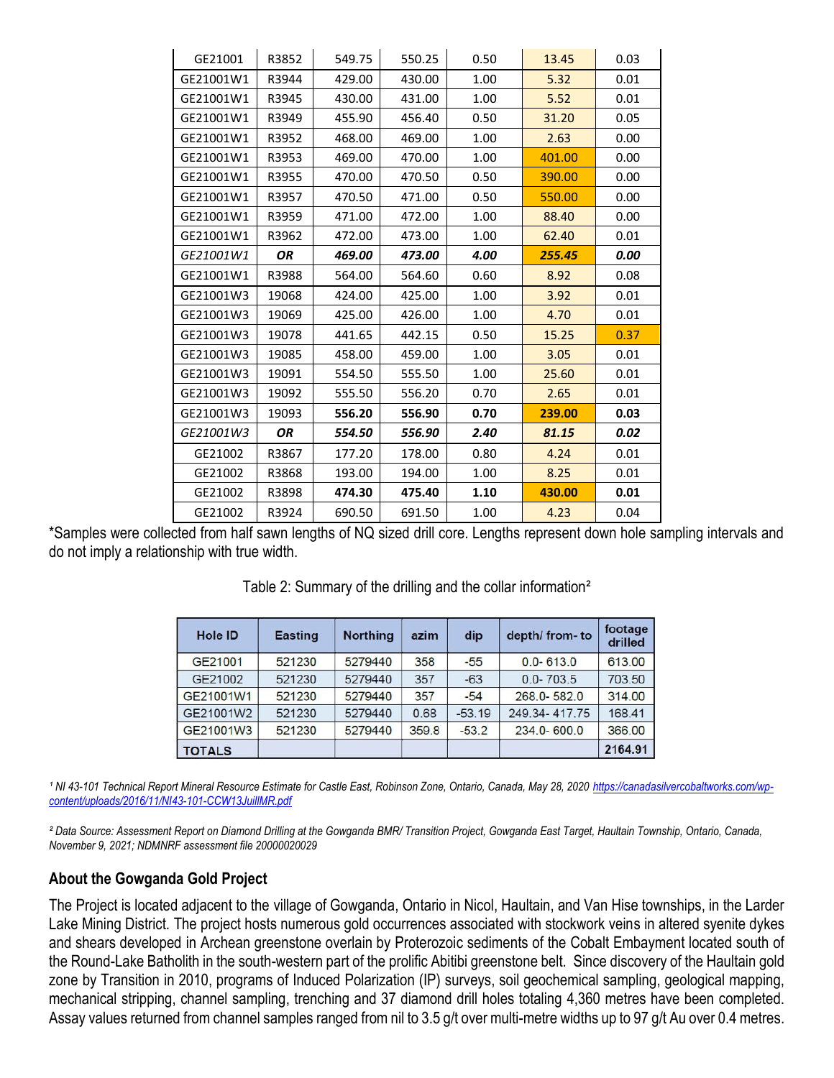| GE21001   | R3852 | 549.75 | 550.25 | 0.50 | 13.45  | 0.03 |
|-----------|-------|--------|--------|------|--------|------|
| GE21001W1 | R3944 | 429.00 | 430.00 | 1.00 | 5.32   | 0.01 |
| GE21001W1 | R3945 | 430.00 | 431.00 | 1.00 | 5.52   | 0.01 |
| GE21001W1 | R3949 | 455.90 | 456.40 | 0.50 | 31.20  | 0.05 |
| GE21001W1 | R3952 | 468.00 | 469.00 | 1.00 | 2.63   | 0.00 |
| GE21001W1 | R3953 | 469.00 | 470.00 | 1.00 | 401.00 | 0.00 |
| GE21001W1 | R3955 | 470.00 | 470.50 | 0.50 | 390.00 | 0.00 |
| GE21001W1 | R3957 | 470.50 | 471.00 | 0.50 | 550.00 | 0.00 |
| GE21001W1 | R3959 | 471.00 | 472.00 | 1.00 | 88.40  | 0.00 |
| GE21001W1 | R3962 | 472.00 | 473.00 | 1.00 | 62.40  | 0.01 |
| GE21001W1 | OR    | 469.00 | 473.00 | 4.00 | 255.45 | 0.00 |
| GE21001W1 | R3988 | 564.00 | 564.60 | 0.60 | 8.92   | 0.08 |
| GE21001W3 | 19068 | 424.00 | 425.00 | 1.00 | 3.92   | 0.01 |
| GE21001W3 | 19069 | 425.00 | 426.00 | 1.00 | 4.70   | 0.01 |
| GE21001W3 | 19078 | 441.65 | 442.15 | 0.50 | 15.25  | 0.37 |
| GE21001W3 | 19085 | 458.00 | 459.00 | 1.00 | 3.05   | 0.01 |
| GE21001W3 | 19091 | 554.50 | 555.50 | 1.00 | 25.60  | 0.01 |
| GE21001W3 | 19092 | 555.50 | 556.20 | 0.70 | 2.65   | 0.01 |
| GE21001W3 | 19093 | 556.20 | 556.90 | 0.70 | 239.00 | 0.03 |
| GE21001W3 | OR    | 554.50 | 556.90 | 2.40 | 81.15  | 0.02 |
| GE21002   | R3867 | 177.20 | 178.00 | 0.80 | 4.24   | 0.01 |
| GE21002   | R3868 | 193.00 | 194.00 | 1.00 | 8.25   | 0.01 |
| GE21002   | R3898 | 474.30 | 475.40 | 1.10 | 430.00 | 0.01 |
| GE21002   | R3924 | 690.50 | 691.50 | 1.00 | 4.23   | 0.04 |

\*Samples were collected from half sawn lengths of NQ sized drill core. Lengths represent down hole sampling intervals and do not imply a relationship with true width.

| <b>Hole ID</b> | <b>Easting</b> | <b>Northing</b> | azim  | dip      | depth/from-to | footage<br>drilled |
|----------------|----------------|-----------------|-------|----------|---------------|--------------------|
| GE21001        | 521230         | 5279440         | 358   | $-55$    | $0.0 - 613.0$ | 613.00             |
| GE21002        | 521230         | 5279440         | 357   | $-63$    | $0.0 - 703.5$ | 703.50             |
| GE21001W1      | 521230         | 5279440         | 357   | $-54$    | 268.0-582.0   | 314.00             |
| GE21001W2      | 521230         | 5279440         | 0.68  | $-53.19$ | 249.34-417.75 | 168.41             |
| GE21001W3      | 521230         | 5279440         | 359.8 | $-53.2$  | 234.0-600.0   | 366,00             |
| <b>TOTALS</b>  |                |                 |       |          |               | 2164.91            |

Table 2: Summary of the drilling and the collar information²

<sup>1</sup> NI 43-101 Technical Report Mineral Resource Estimate for Castle East, Robinson Zone, Ontario, Canada, May 28, 2020 *[https://canadasilvercobaltworks.com/wp](https://canadasilvercobaltworks.com/wp-content/uploads/2016/11/NI43-101-CCW13JuillMR.pdf)[content/uploads/2016/11/NI43-101-CCW13JuillMR.pdf](https://canadasilvercobaltworks.com/wp-content/uploads/2016/11/NI43-101-CCW13JuillMR.pdf)*

*² Data Source: Assessment Report on Diamond Drilling at the Gowganda BMR/ Transition Project, Gowganda East Target, Haultain Township, Ontario, Canada, November 9, 2021; NDMNRF assessment file 20000020029*

#### **About the Gowganda Gold Project**

The Project is located adjacent to the village of Gowganda, Ontario in Nicol, Haultain, and Van Hise townships, in the Larder Lake Mining District. The project hosts numerous gold occurrences associated with stockwork veins in altered syenite dykes and shears developed in Archean greenstone overlain by Proterozoic sediments of the Cobalt Embayment located south of the Round-Lake Batholith in the south-western part of the prolific Abitibi greenstone belt. Since discovery of the Haultain gold zone by Transition in 2010, programs of Induced Polarization (IP) surveys, soil geochemical sampling, geological mapping, mechanical stripping, channel sampling, trenching and 37 diamond drill holes totaling 4,360 metres have been completed. Assay values returned from channel samples ranged from nil to 3.5 g/t over multi-metre widths up to 97 g/t Au over 0.4 metres.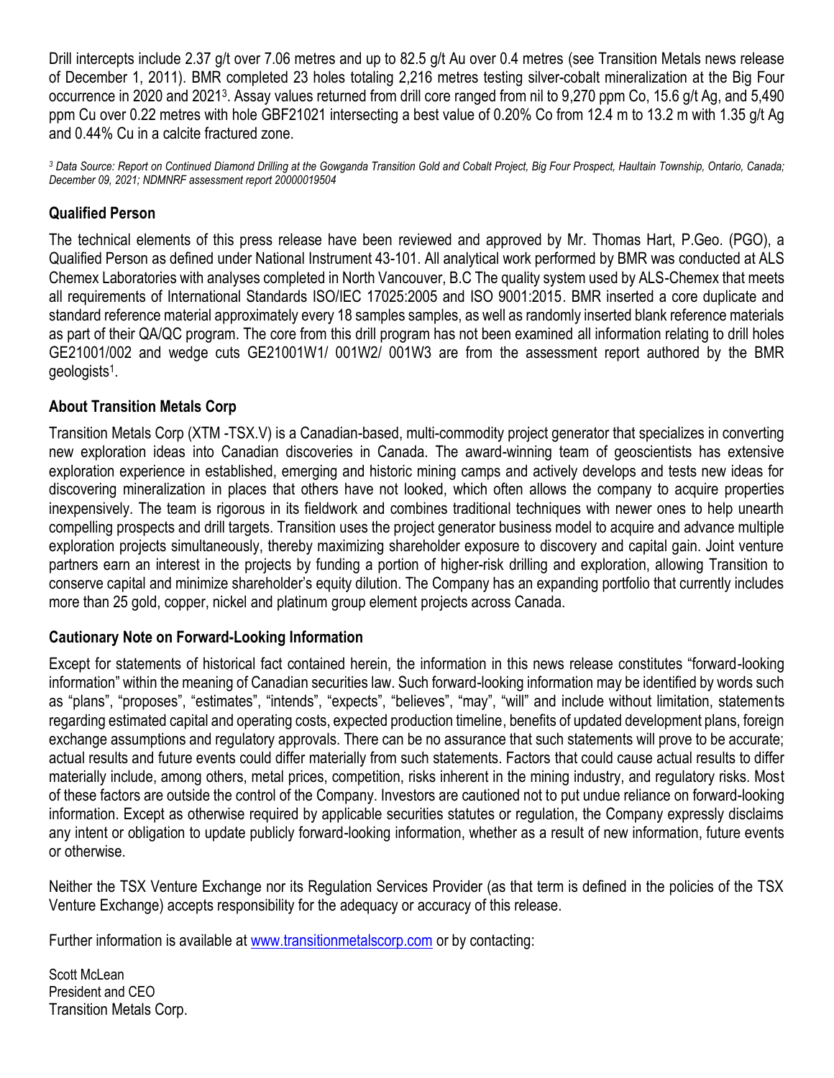Drill intercepts include 2.37 g/t over 7.06 metres and up to 82.5 g/t Au over 0.4 metres (see Transition Metals news release of December 1, 2011). BMR completed 23 holes totaling 2,216 metres testing silver-cobalt mineralization at the Big Four occurrence in 2020 and 20213. Assay values returned from drill core ranged from nil to 9,270 ppm Co, 15.6 g/t Ag, and 5,490 ppm Cu over 0.22 metres with hole GBF21021 intersecting a best value of 0.20% Co from 12.4 m to 13.2 m with 1.35 g/t Ag and 0.44% Cu in a calcite fractured zone.

*<sup>3</sup> Data Source: Report on Continued Diamond Drilling at the Gowganda Transition Gold and Cobalt Project, Big Four Prospect, Haultain Township, Ontario, Canada; December 09, 2021; NDMNRF assessment report 20000019504*

### **Qualified Person**

The technical elements of this press release have been reviewed and approved by Mr. Thomas Hart, P.Geo. (PGO), a Qualified Person as defined under National Instrument 43-101. All analytical work performed by BMR was conducted at ALS Chemex Laboratories with analyses completed in North Vancouver, B.C The quality system used by ALS-Chemex that meets all requirements of International Standards ISO/IEC 17025:2005 and ISO 9001:2015. BMR inserted a core duplicate and standard reference material approximately every 18 samples samples, as well as randomly inserted blank reference materials as part of their QA/QC program. The core from this drill program has not been examined all information relating to drill holes GE21001/002 and wedge cuts GE21001W1/ 001W2/ 001W3 are from the assessment report authored by the BMR geologists1.

### **About Transition Metals Corp**

Transition Metals Corp (XTM -TSX.V) is a Canadian-based, multi-commodity project generator that specializes in converting new exploration ideas into Canadian discoveries in Canada. The award-winning team of geoscientists has extensive exploration experience in established, emerging and historic mining camps and actively develops and tests new ideas for discovering mineralization in places that others have not looked, which often allows the company to acquire properties inexpensively. The team is rigorous in its fieldwork and combines traditional techniques with newer ones to help unearth compelling prospects and drill targets. Transition uses the project generator business model to acquire and advance multiple exploration projects simultaneously, thereby maximizing shareholder exposure to discovery and capital gain. Joint venture partners earn an interest in the projects by funding a portion of higher-risk drilling and exploration, allowing Transition to conserve capital and minimize shareholder's equity dilution. The Company has an expanding portfolio that currently includes more than 25 gold, copper, nickel and platinum group element projects across Canada.

#### **Cautionary Note on Forward-Looking Information**

Except for statements of historical fact contained herein, the information in this news release constitutes "forward-looking information" within the meaning of Canadian securities law. Such forward-looking information may be identified by words such as "plans", "proposes", "estimates", "intends", "expects", "believes", "may", "will" and include without limitation, statements regarding estimated capital and operating costs, expected production timeline, benefits of updated development plans, foreign exchange assumptions and regulatory approvals. There can be no assurance that such statements will prove to be accurate; actual results and future events could differ materially from such statements. Factors that could cause actual results to differ materially include, among others, metal prices, competition, risks inherent in the mining industry, and regulatory risks. Most of these factors are outside the control of the Company. Investors are cautioned not to put undue reliance on forward-looking information. Except as otherwise required by applicable securities statutes or regulation, the Company expressly disclaims any intent or obligation to update publicly forward-looking information, whether as a result of new information, future events or otherwise.

Neither the TSX Venture Exchange nor its Regulation Services Provider (as that term is defined in the policies of the TSX Venture Exchange) accepts responsibility for the adequacy or accuracy of this release.

Further information is available at [www.transitionmetalscorp.com](http://www.transitionmetalscorp.com/) or by contacting:

Scott McLean President and CEO Transition Metals Corp.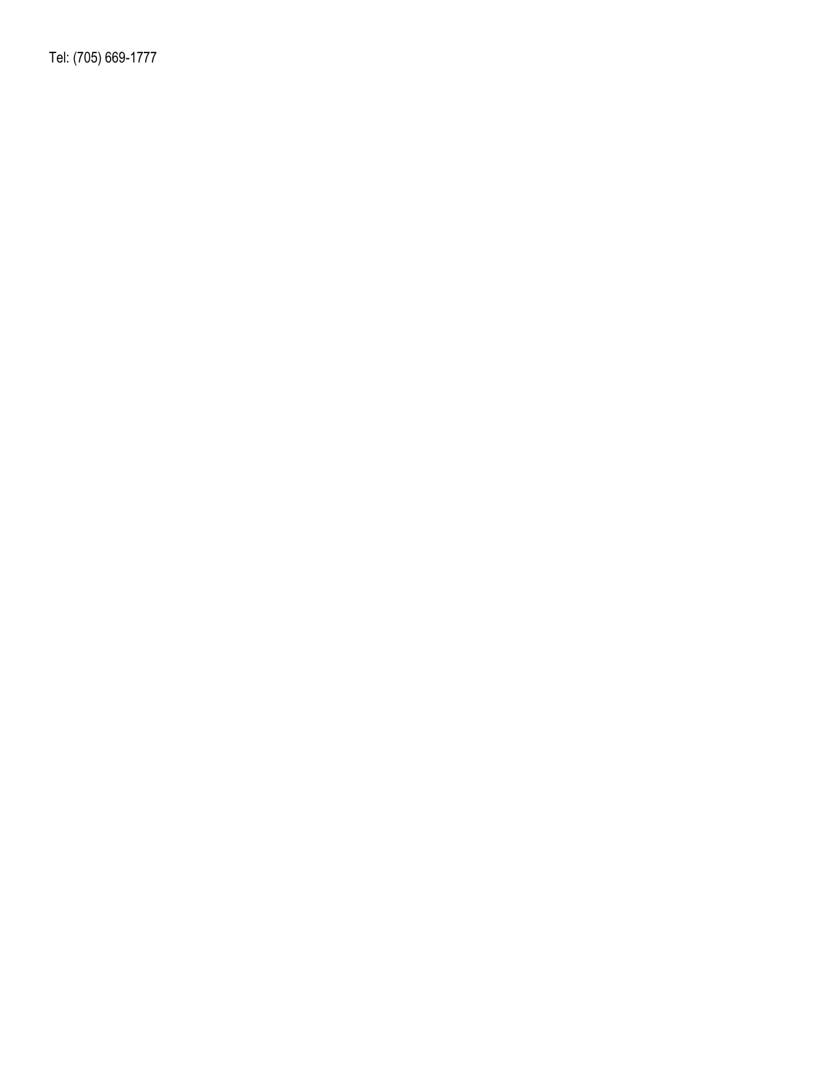Tel: (705) 669-1777